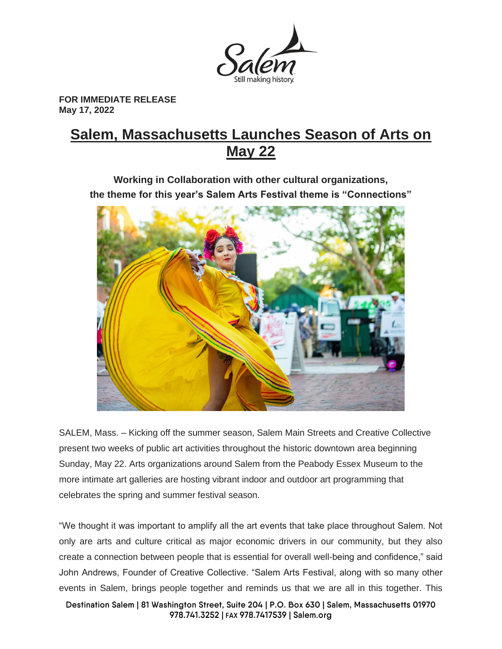

**FOR IMMEDIATE RELEASE May 17, 2022**

# **Salem, Massachusetts Launches Season of Arts on May 22**

**Working in Collaboration with other cultural organizations, the theme for this year's Salem Arts Festival theme is "Connections"**



SALEM, Mass. – Kicking off the summer season, Salem Main Streets and Creative Collective present two weeks of public art activities throughout the historic downtown area beginning Sunday, May 22. Arts organizations around Salem from the Peabody Essex Museum to the more intimate art galleries are hosting vibrant indoor and outdoor art programming that celebrates the spring and summer festival season.

"We thought it was important to amplify all the art events that take place throughout Salem. Not only are arts and culture critical as major economic drivers in our community, but they also create a connection between people that is essential for overall well-being and confidence," said John Andrews, Founder of Creative Collective. "Salem Arts Festival, along with so many other events in Salem, brings people together and reminds us that we are all in this together. This

Destination Salem | 81 Washington Street, Suite 204 | P.O. Box 630 | Salem, Massachusetts 01970 978.741.3252 | FAX 978.7417539 | Salem.org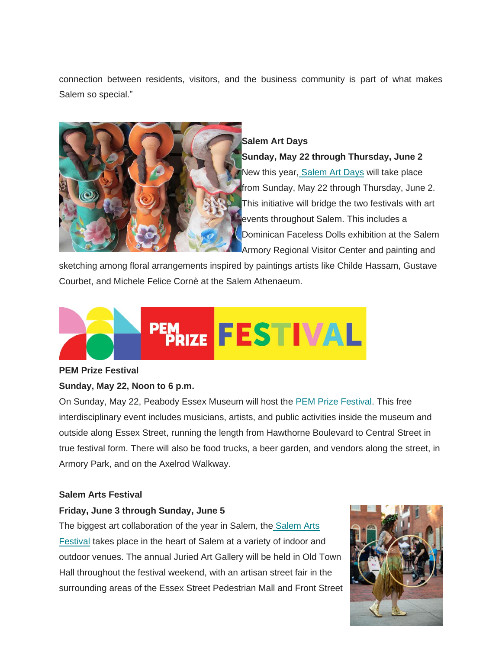connection between residents, visitors, and the business community is part of what makes Salem so special."



## **Salem Art Days**

**Sunday, May 22 through Thursday, June 2** New this year, [Salem Art Days](https://salemartsfestival.com/salemartdays/) will take place from Sunday, May 22 through Thursday, June 2. This initiative will bridge the two festivals with art events throughout Salem. This includes a Dominican Faceless Dolls exhibition at the Salem Armory Regional Visitor Center and painting and

sketching among floral arrangements inspired by paintings artists like Childe Hassam, Gustave Courbet, and Michele Felice Cornè at the Salem Athenaeum.



# **PEM Prize Festival**

# **Sunday, May 22, Noon to 6 p.m.**

On Sunday, May 22, Peabody Essex Museum will host the [PEM Prize Festival.](https://www.pem.org/events/pem-prize-festival) This free interdisciplinary event includes musicians, artists, and public activities inside the museum and outside along Essex Street, running the length from Hawthorne Boulevard to Central Street in true festival form. There will also be food trucks, a beer garden, and vendors along the street, in Armory Park, and on the Axelrod Walkway.

#### **Salem Arts Festival**

#### **Friday, June 3 through Sunday, June 5**

The biggest art collaboration of the year in Salem, the [Salem Arts](https://salemartsfestival.com/)  [Festival](https://salemartsfestival.com/) takes place in the heart of Salem at a variety of indoor and outdoor venues. The annual Juried Art Gallery will be held in Old Town Hall throughout the festival weekend, with an artisan street fair in the surrounding areas of the Essex Street Pedestrian Mall and Front Street

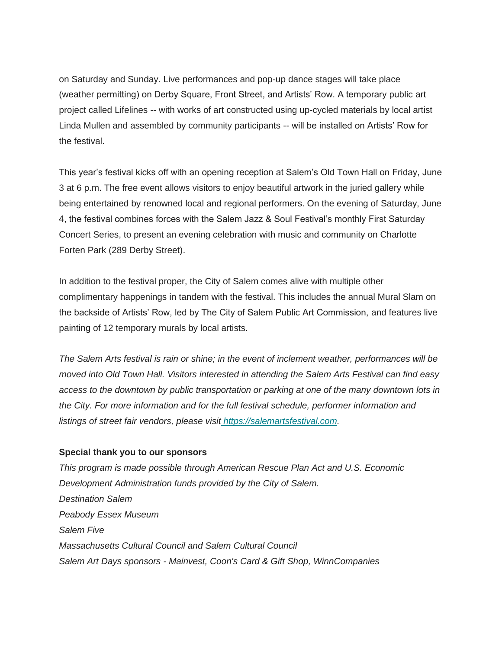on Saturday and Sunday. Live performances and pop-up dance stages will take place (weather permitting) on Derby Square, Front Street, and Artists' Row. A temporary public art project called Lifelines -- with works of art constructed using up-cycled materials by local artist Linda Mullen and assembled by community participants -- will be installed on Artists' Row for the festival.

This year's festival kicks off with an opening reception at Salem's Old Town Hall on Friday, June 3 at 6 p.m. The free event allows visitors to enjoy beautiful artwork in the juried gallery while being entertained by renowned local and regional performers. On the evening of Saturday, June 4, the festival combines forces with the Salem Jazz & Soul Festival's monthly First Saturday Concert Series, to present an evening celebration with music and community on Charlotte Forten Park (289 Derby Street).

In addition to the festival proper, the City of Salem comes alive with multiple other complimentary happenings in tandem with the festival. This includes the annual Mural Slam on the backside of Artists' Row, led by The City of Salem Public Art Commission, and features live painting of 12 temporary murals by local artists.

*The Salem Arts festival is rain or shine; in the event of inclement weather, performances will be moved into Old Town Hall. Visitors interested in attending the Salem Arts Festival can find easy access to the downtown by public transportation or parking at one of the many downtown lots in the City. For more information and for the full festival schedule, performer information and listings of street fair vendors, please visit [https://salemartsfestival.com.](https://salemartsfestival.com/)* 

#### **Special thank you to our sponsors**

*This program is made possible through American Rescue Plan Act and U.S. Economic Development Administration funds provided by the City of Salem. Destination Salem Peabody Essex Museum Salem Five Massachusetts Cultural Council and Salem Cultural Council Salem Art Days sponsors - Mainvest, Coon's Card & Gift Shop, WinnCompanies*